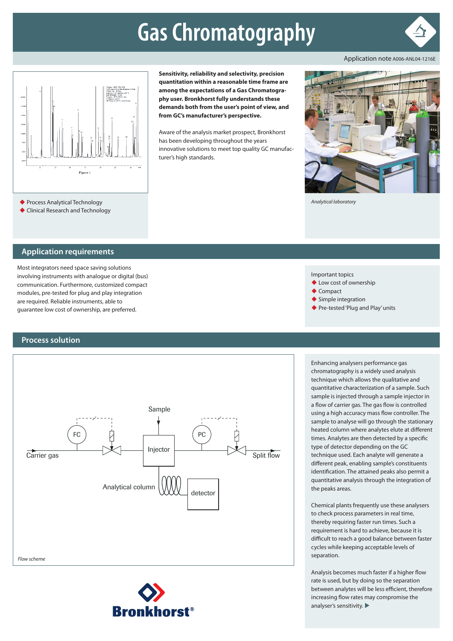# **Gas Chromatography**



Application note A006-ANL04-1216E



**Sensitivity, reliability and selectivity, precision quantitation within a reasonable time frame are among the expectations of a Gas Chromatography user. Bronkhorst fully understands these demands both from the user's point of view, and from GC's manufacturer's perspective.** 

Aware of the analysis market prospect, Bronkhorst has been developing throughout the years innovative solutions to meet top quality GC manufacturer's high standards.



*Analytical laboratory*

Clinical Research and Technology

#### **Application requirements**

Most integrators need space saving solutions involving instruments with analogue or digital (bus) communication. Furthermore, customized compact modules, pre-tested for plug and play integration are required. Reliable instruments, able to guarantee low cost of ownership, are preferred.

#### **Process solution**



**Bronkhorst®** 

technique which allows the qualitative and quantitative characterization of a sample. Such sample is injected through a sample injector in a flow of carrier gas. The gas flow is controlled using a high accuracy mass flow controller. The sample to analyse will go through the stationary heated column where analytes elute at different times. Analytes are then detected by a specific type of detector depending on the GC technique used. Each analyte will generate a different peak, enabling sample's constituents identification. The attained peaks also permit a quantitative analysis through the integration of the peaks areas.

Chemical plants frequently use these analysers to check process parameters in real time, thereby requiring faster run times. Such a requirement is hard to achieve, because it is difficult to reach a good balance between faster cycles while keeping acceptable levels of separation.

Analysis becomes much faster if a higher flow rate is used, but by doing so the separation between analytes will be less efficient, therefore increasing flow rates may compromise the analyser's sensitivity.  $\blacktriangleright$ 

Important topics

- ◆ Low cost of ownership
- $\triangle$  Compact
- ◆ Simple integration
- ◆ Pre-tested 'Plug and Play' units

Enhancing analysers performance gas chromatography is a widely used analysis